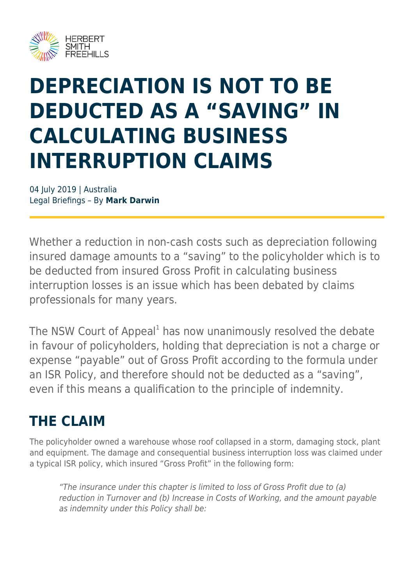

# **DEPRECIATION IS NOT TO BE DEDUCTED AS A "SAVING" IN CALCULATING BUSINESS INTERRUPTION CLAIMS**

04 July 2019 | Australia Legal Briefings – By **Mark Darwin**

Whether a reduction in non-cash costs such as depreciation following insured damage amounts to a "saving" to the policyholder which is to be deducted from insured Gross Profit in calculating business interruption losses is an issue which has been debated by claims professionals for many years.

The NSW Court of Appeal<sup>1</sup> has now unanimously resolved the debate in favour of policyholders, holding that depreciation is not a charge or expense "payable" out of Gross Profit according to the formula under an ISR Policy, and therefore should not be deducted as a "saving", even if this means a qualification to the principle of indemnity.

#### **THE CLAIM**

The policyholder owned a warehouse whose roof collapsed in a storm, damaging stock, plant and equipment. The damage and consequential business interruption loss was claimed under a typical ISR policy, which insured "Gross Profit" in the following form:

"The insurance under this chapter is limited to loss of Gross Profit due to (a) reduction in Turnover and (b) Increase in Costs of Working, and the amount payable as indemnity under this Policy shall be: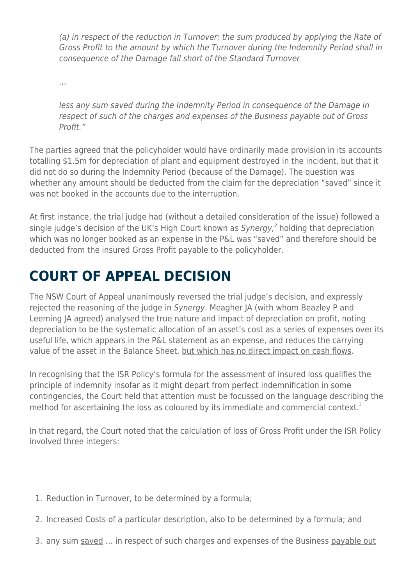(a) in respect of the reduction in Turnover: the sum produced by applying the Rate of Gross Profit to the amount by which the Turnover during the Indemnity Period shall in consequence of the Damage fall short of the Standard Turnover

…

less any sum saved during the Indemnity Period in consequence of the Damage in respect of such of the charges and expenses of the Business payable out of Gross Profit<sup>"</sup>

The parties agreed that the policyholder would have ordinarily made provision in its accounts totalling \$1.5m for depreciation of plant and equipment destroyed in the incident, but that it did not do so during the Indemnity Period (because of the Damage). The question was whether any amount should be deducted from the claim for the depreciation "saved" since it was not booked in the accounts due to the interruption.

At first instance, the trial judge had (without a detailed consideration of the issue) followed a single judge's decision of the UK's High Court known as Synergy,<sup>2</sup> holding that depreciation which was no longer booked as an expense in the P&L was "saved" and therefore should be deducted from the insured Gross Profit payable to the policyholder.

### **COURT OF APPEAL DECISION**

The NSW Court of Appeal unanimously reversed the trial judge's decision, and expressly rejected the reasoning of the judge in Synergy. Meagher JA (with whom Beazley P and Leeming JA agreed) analysed the true nature and impact of depreciation on profit, noting depreciation to be the systematic allocation of an asset's cost as a series of expenses over its useful life, which appears in the P&L statement as an expense, and reduces the carrying value of the asset in the Balance Sheet, but which has no direct impact on cash flows.

In recognising that the ISR Policy's formula for the assessment of insured loss qualifies the principle of indemnity insofar as it might depart from perfect indemnification in some contingencies, the Court held that attention must be focussed on the language describing the method for ascertaining the loss as coloured by its immediate and commercial context.<sup>3</sup>

In that regard, the Court noted that the calculation of loss of Gross Profit under the ISR Policy involved three integers:

- 1. Reduction in Turnover, to be determined by a formula;
- 2. Increased Costs of a particular description, also to be determined by a formula; and
- 3. any sum saved ... in respect of such charges and expenses of the Business payable out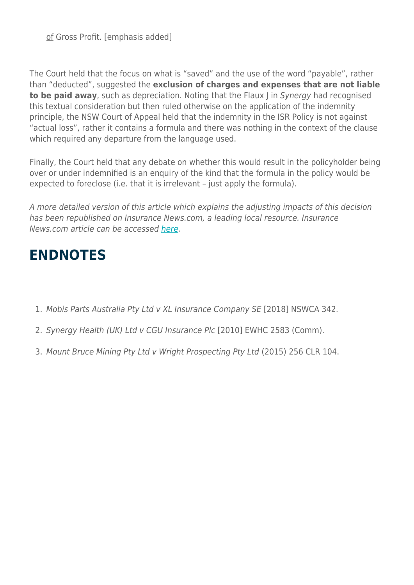of Gross Profit. [emphasis added]

The Court held that the focus on what is "saved" and the use of the word "payable", rather than "deducted", suggested the **exclusion of charges and expenses that are not liable to be paid away**, such as depreciation. Noting that the Flaux I in Synergy had recognised this textual consideration but then ruled otherwise on the application of the indemnity principle, the NSW Court of Appeal held that the indemnity in the ISR Policy is not against "actual loss", rather it contains a formula and there was nothing in the context of the clause which required any departure from the language used.

Finally, the Court held that any debate on whether this would result in the policyholder being over or under indemnified is an enquiry of the kind that the formula in the policy would be expected to foreclose (i.e. that it is irrelevant – just apply the formula).

A more detailed version of this article which explains the adjusting impacts of this decision has been republished on Insurance News.com, a leading local resource. Insurance News.com article can be accessed [here.](https://www.insurancenews.com.au/analysis/a-winwin-on-depreciation)

#### **ENDNOTES**

- 1. Mobis Parts Australia Pty Ltd v XL Insurance Company SE [2018] NSWCA 342.
- 2. Synergy Health (UK) Ltd v CGU Insurance Plc [2010] EWHC 2583 (Comm).
- 3. Mount Bruce Mining Pty Ltd v Wright Prospecting Pty Ltd (2015) 256 CLR 104.